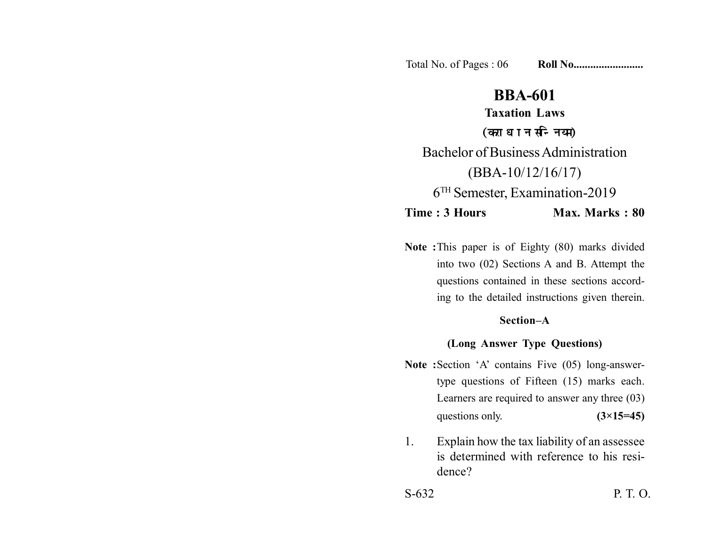Total No. of Pages : 06 **Roll No......................** 

# **BBA-601**

**Taxation Laws** (कराधान सन्नियम) Bachelor of Business Administration (BBA-10/12/16/17) 6TH Semester, Examination-2019 **Time : 3 Hours Max. Marks : 80** 

**Note :**This paper is of Eighty (80) marks divided into two (02) Sections A and B. Attempt the questions contained in these sections according to the detailed instructions given therein.

## **Section–A**

### **(Long Answer Type Questions)**

- Note :Section 'A' contains Five (05) long-answertype questions of Fifteen (15) marks each. Learners are required to answer any three (03) questions only.  $(3\times15=45)$
- 1. Explain how the tax liability of an assessee is determined with reference to his residence?

S-632 P. T. O.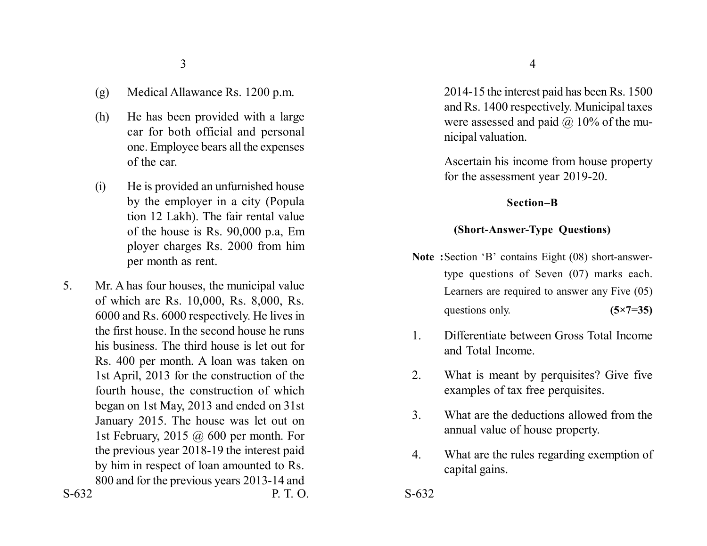- (g) Medical Allawance Rs. 1200 p.m.
- (h) He has been provided with a large car for both official and personal one. Employee bears all the expenses of the car.
- (i) He is provided an unfurnished house by the employer in a city (Popula tion 12 Lakh). The fair rental value of the house is Rs. 90,000 p.a, Em ployer charges Rs. 2000 from him per month as rent.
- S-632 P. T. O. S-632 5. Mr. A has four houses, the municipal value of which are Rs. 10,000, Rs. 8,000, Rs. 6000 and Rs. 6000 respectively. He lives in the first house. In the second house he runs his business. The third house is let out for Rs. 400 per month. A loan was taken on 1st April, 2013 for the construction of the fourth house, the construction of which began on 1st May, 2013 and ended on 31st January 2015. The house was let out on 1st February, 2015 @ 600 per month. For the previous year 2018-19 the interest paid by him in respect of loan amounted to Rs. 800 and for the previous years 2013-14 and

2014-15 the interest paid has been Rs. 1500 and Rs. 1400 respectively. Municipal taxes were assessed and paid  $\omega$  10% of the municipal valuation.

Ascertain his income from house property for the assessment year 2019-20.

#### **Section–B**

#### **(Short-Answer-Type Questions)**

- **Note :**Section 'B' contains Eight (08) short-answertype questions of Seven (07) marks each. Learners are required to answer any Five (05) questions only. **(5×7=35)**
- 1. Differentiate between Gross Total Income and Total Income.
- 2. What is meant by perquisites? Give five examples of tax free perquisites.
- 3. What are the deductions allowed from the annual value of house property.
- 4. What are the rules regarding exemption of capital gains.